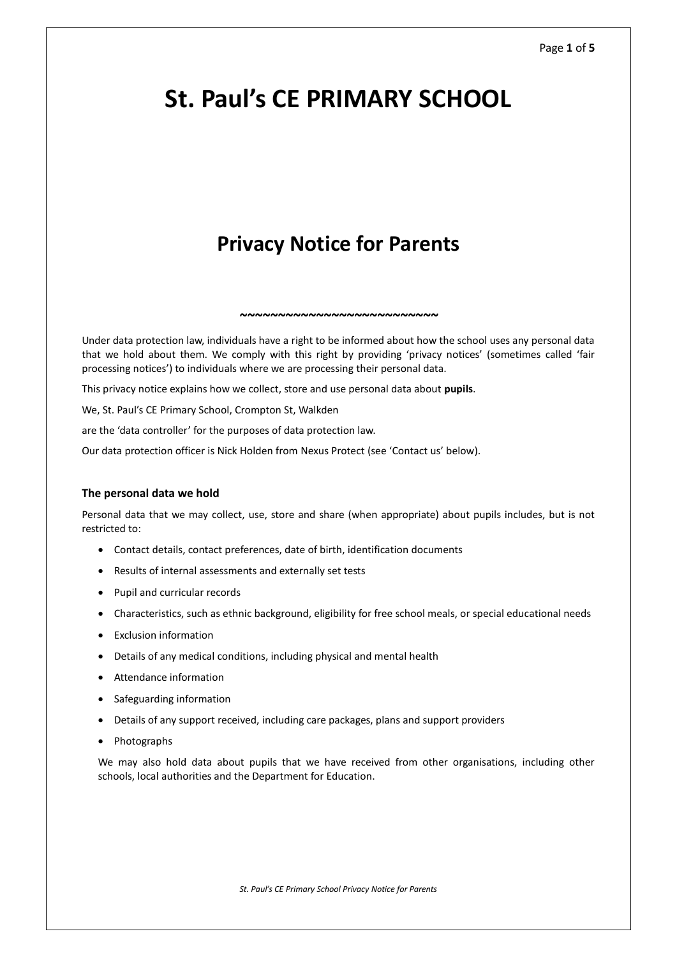# **St. Paul's CE PRIMARY SCHOOL**

# **Privacy Notice for Parents**

Under data protection law, individuals have a right to be informed about how the school uses any personal data that we hold about them. We comply with this right by providing 'privacy notices' (sometimes called 'fair processing notices') to individuals where we are processing their personal data.

*~~~~~~~~~~~~~~~~~~~~~~~~~~*

This privacy notice explains how we collect, store and use personal data about **pupils**.

We, St. Paul's CE Primary School, Crompton St, Walkden

are the 'data controller' for the purposes of data protection law.

Our data protection officer is Nick Holden from Nexus Protect (see 'Contact us' below).

# **The personal data we hold**

Personal data that we may collect, use, store and share (when appropriate) about pupils includes, but is not restricted to:

- Contact details, contact preferences, date of birth, identification documents
- Results of internal assessments and externally set tests
- Pupil and curricular records
- Characteristics, such as ethnic background, eligibility for free school meals, or special educational needs
- Exclusion information
- Details of any medical conditions, including physical and mental health
- Attendance information
- Safeguarding information
- Details of any support received, including care packages, plans and support providers
- Photographs

We may also hold data about pupils that we have received from other organisations, including other schools, local authorities and the Department for Education.

*St. Paul's CE Primary School Privacy Notice for Parents*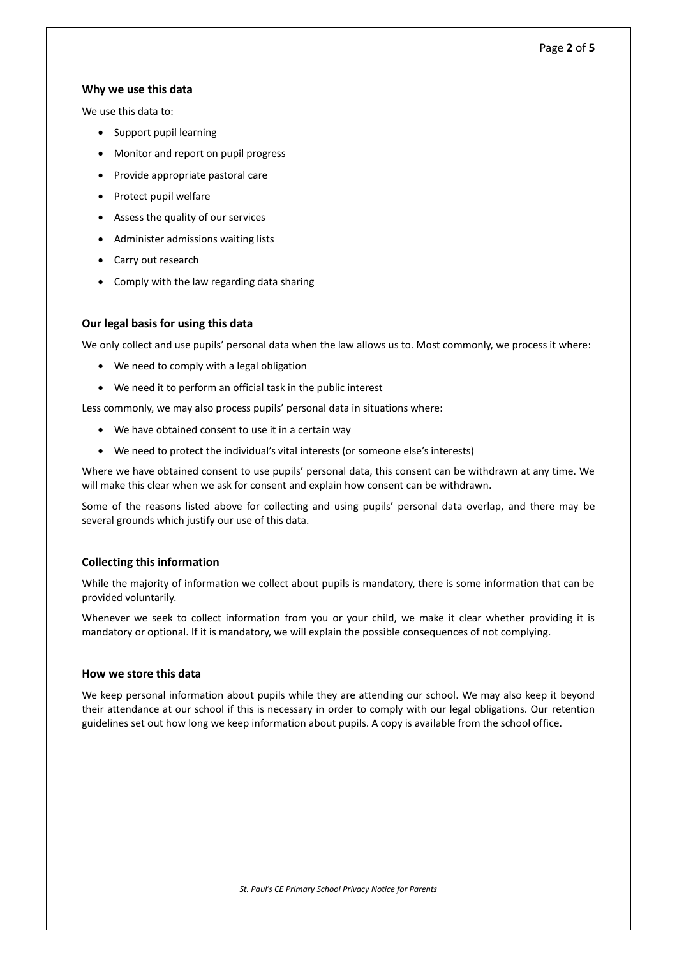# Page **2** of **5**

# **Why we use this data**

We use this data to:

- Support pupil learning
- Monitor and report on pupil progress
- Provide appropriate pastoral care
- Protect pupil welfare
- Assess the quality of our services
- Administer admissions waiting lists
- Carry out research
- Comply with the law regarding data sharing

# **Our legal basis for using this data**

We only collect and use pupils' personal data when the law allows us to. Most commonly, we process it where:

- We need to comply with a legal obligation
- We need it to perform an official task in the public interest

Less commonly, we may also process pupils' personal data in situations where:

- We have obtained consent to use it in a certain way
- We need to protect the individual's vital interests (or someone else's interests)

Where we have obtained consent to use pupils' personal data, this consent can be withdrawn at any time. We will make this clear when we ask for consent and explain how consent can be withdrawn.

Some of the reasons listed above for collecting and using pupils' personal data overlap, and there may be several grounds which justify our use of this data.

# **Collecting this information**

While the majority of information we collect about pupils is mandatory, there is some information that can be provided voluntarily.

Whenever we seek to collect information from you or your child, we make it clear whether providing it is mandatory or optional. If it is mandatory, we will explain the possible consequences of not complying.

# **How we store this data**

We keep personal information about pupils while they are attending our school. We may also keep it beyond their attendance at our school if this is necessary in order to comply with our legal obligations. Our retention guidelines set out how long we keep information about pupils. A copy is available from the school office.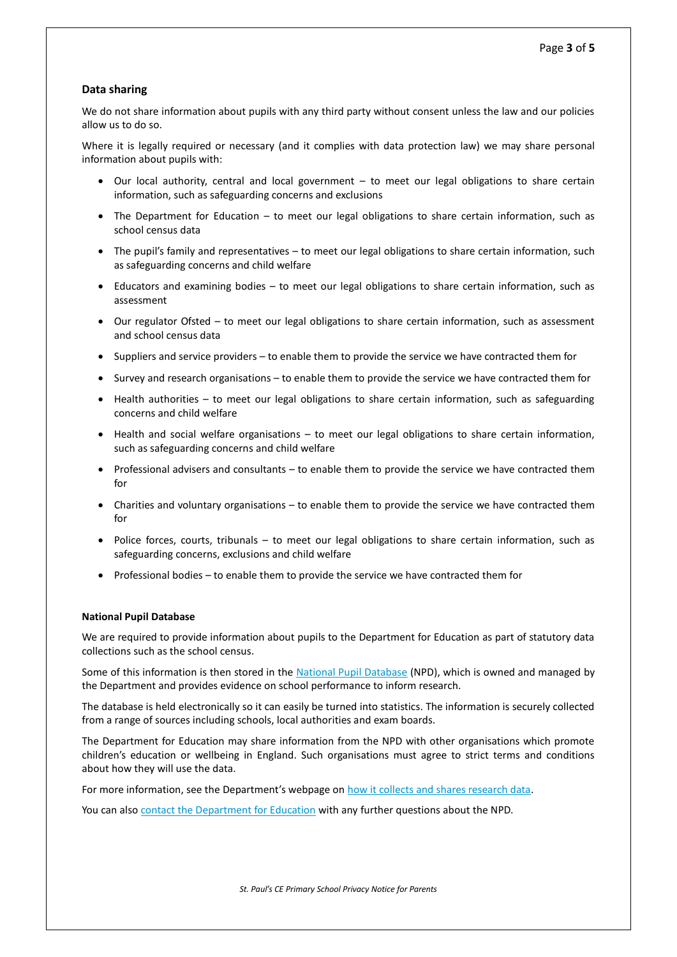# **Data sharing**

We do not share information about pupils with any third party without consent unless the law and our policies allow us to do so.

Where it is legally required or necessary (and it complies with data protection law) we may share personal information about pupils with:

- Our local authority, central and local government to meet our legal obligations to share certain information, such as safeguarding concerns and exclusions
- The Department for Education to meet our legal obligations to share certain information, such as school census data
- The pupil's family and representatives to meet our legal obligations to share certain information, such as safeguarding concerns and child welfare
- Educators and examining bodies to meet our legal obligations to share certain information, such as assessment
- Our regulator Ofsted to meet our legal obligations to share certain information, such as assessment and school census data
- Suppliers and service providers to enable them to provide the service we have contracted them for
- Survey and research organisations to enable them to provide the service we have contracted them for
- Health authorities to meet our legal obligations to share certain information, such as safeguarding concerns and child welfare
- Health and social welfare organisations to meet our legal obligations to share certain information, such as safeguarding concerns and child welfare
- Professional advisers and consultants to enable them to provide the service we have contracted them for
- Charities and voluntary organisations to enable them to provide the service we have contracted them for
- Police forces, courts, tribunals to meet our legal obligations to share certain information, such as safeguarding concerns, exclusions and child welfare
- Professional bodies to enable them to provide the service we have contracted them for

#### **National Pupil Database**

We are required to provide information about pupils to the Department for Education as part of statutory data collections such as the school census.

Some of this information is then stored in the [National Pupil Database](https://www.gov.uk/government/publications/national-pupil-database-user-guide-and-supporting-information) (NPD), which is owned and managed by the Department and provides evidence on school performance to inform research.

The database is held electronically so it can easily be turned into statistics. The information is securely collected from a range of sources including schools, local authorities and exam boards.

The Department for Education may share information from the NPD with other organisations which promote children's education or wellbeing in England. Such organisations must agree to strict terms and conditions about how they will use the data.

For more information, see the Department's webpage on [how it collects and shares research data.](https://www.gov.uk/data-protection-how-we-collect-and-share-research-data)

You can also [contact the Department for Education](https://www.gov.uk/contact-dfe) with any further questions about the NPD.

*St. Paul's CE Primary School Privacy Notice for Parents*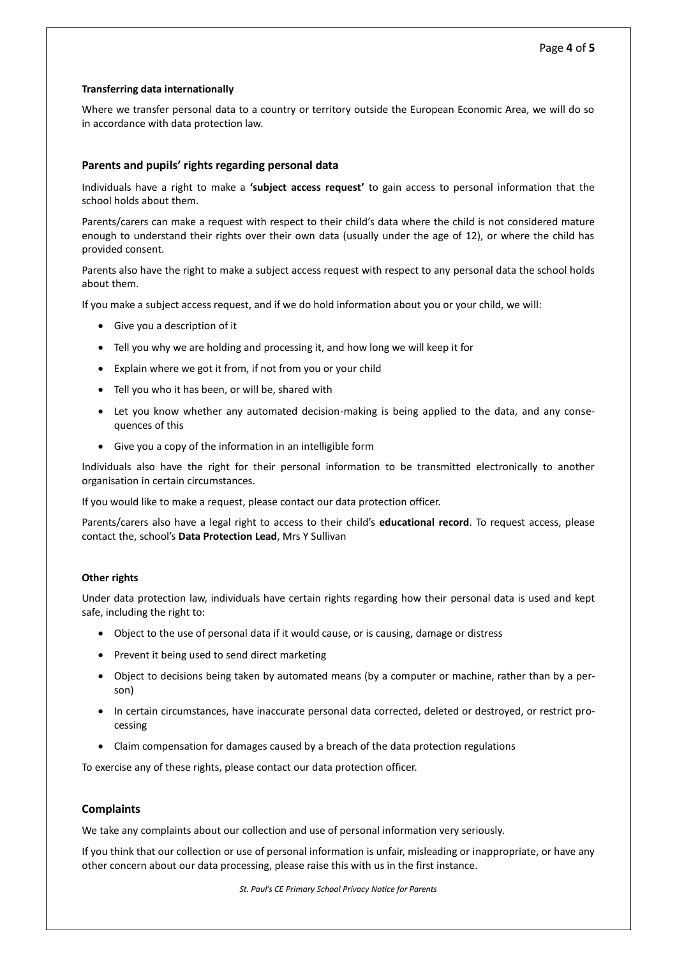# **Transferring data internationally**

Where we transfer personal data to a country or territory outside the European Economic Area, we will do so in accordance with data protection law.

# **Parents and pupils' rights regarding personal data**

Individuals have a right to make a **'subject access request'** to gain access to personal information that the school holds about them.

Parents/carers can make a request with respect to their child's data where the child is not considered mature enough to understand their rights over their own data (usually under the age of 12), or where the child has provided consent.

Parents also have the right to make a subject access request with respect to any personal data the school holds about them.

If you make a subject access request, and if we do hold information about you or your child, we will:

- Give you a description of it
- Tell you why we are holding and processing it, and how long we will keep it for
- Explain where we got it from, if not from you or your child
- Tell you who it has been, or will be, shared with
- Let you know whether any automated decision-making is being applied to the data, and any consequences of this
- Give you a copy of the information in an intelligible form

Individuals also have the right for their personal information to be transmitted electronically to another organisation in certain circumstances.

If you would like to make a request, please contact our data protection officer.

Parents/carers also have a legal right to access to their child's **educational record**. To request access, please contact the, school's **Data Protection Lead**, Mrs Y Sullivan

# **Other rights**

Under data protection law, individuals have certain rights regarding how their personal data is used and kept safe, including the right to:

- Object to the use of personal data if it would cause, or is causing, damage or distress
- Prevent it being used to send direct marketing
- Object to decisions being taken by automated means (by a computer or machine, rather than by a person)
- In certain circumstances, have inaccurate personal data corrected, deleted or destroyed, or restrict processing
- Claim compensation for damages caused by a breach of the data protection regulations

To exercise any of these rights, please contact our data protection officer.

# **Complaints**

We take any complaints about our collection and use of personal information very seriously.

If you think that our collection or use of personal information is unfair, misleading or inappropriate, or have any other concern about our data processing, please raise this with us in the first instance.

*St. Paul's CE Primary School Privacy Notice for Parents*